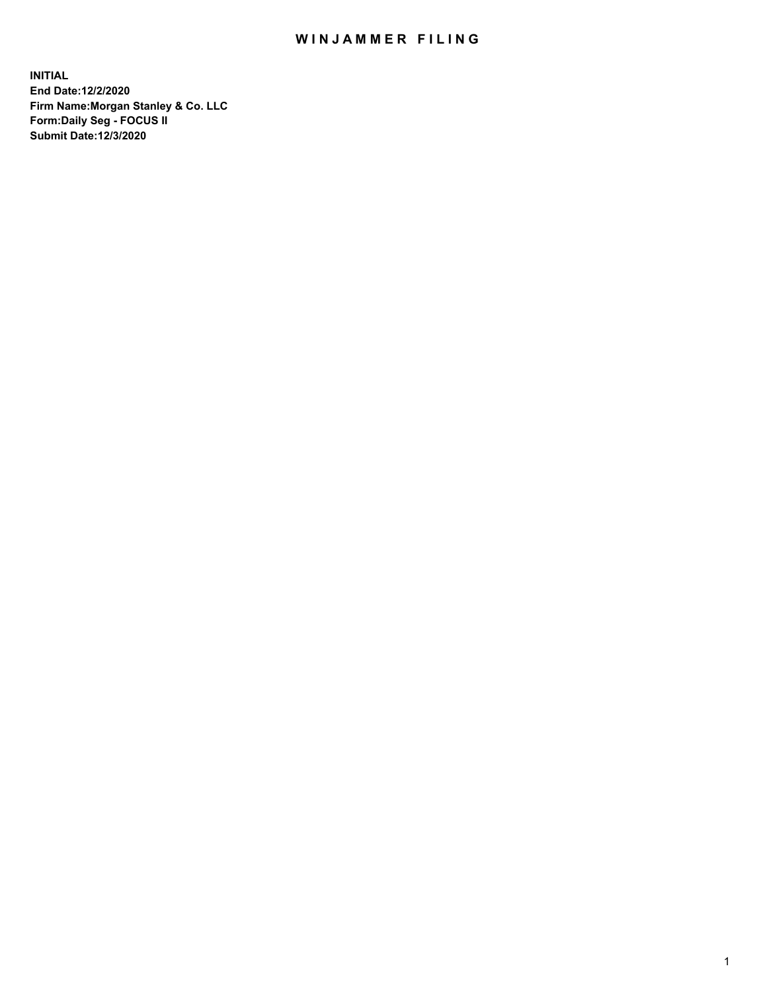## WIN JAMMER FILING

**INITIAL End Date:12/2/2020 Firm Name:Morgan Stanley & Co. LLC Form:Daily Seg - FOCUS II Submit Date:12/3/2020**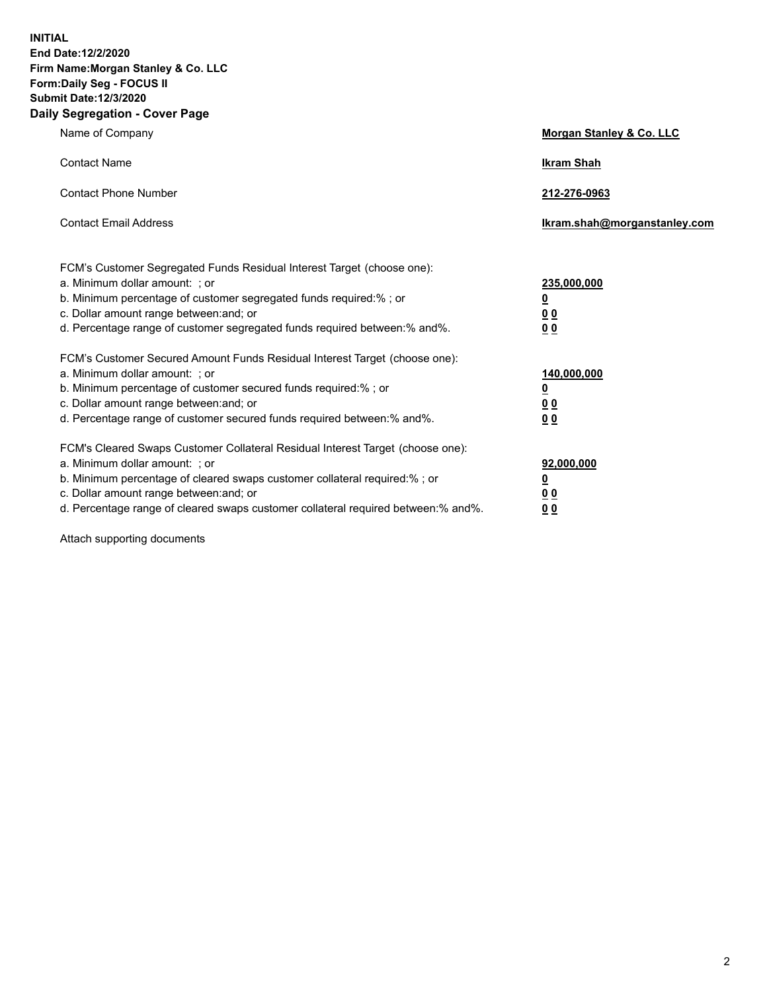**INITIAL End Date:12/2/2020 Firm Name:Morgan Stanley & Co. LLC Form:Daily Seg - FOCUS II Submit Date:12/3/2020 Daily Segregation - Cover Page**

| Name of Company                                                                                                                                                                                                                                                                                                                | <b>Morgan Stanley &amp; Co. LLC</b>                    |
|--------------------------------------------------------------------------------------------------------------------------------------------------------------------------------------------------------------------------------------------------------------------------------------------------------------------------------|--------------------------------------------------------|
| <b>Contact Name</b>                                                                                                                                                                                                                                                                                                            | <b>Ikram Shah</b>                                      |
| <b>Contact Phone Number</b>                                                                                                                                                                                                                                                                                                    | 212-276-0963                                           |
| <b>Contact Email Address</b>                                                                                                                                                                                                                                                                                                   | Ikram.shah@morganstanley.com                           |
| FCM's Customer Segregated Funds Residual Interest Target (choose one):<br>a. Minimum dollar amount: : or<br>b. Minimum percentage of customer segregated funds required:%; or<br>c. Dollar amount range between: and; or<br>d. Percentage range of customer segregated funds required between:% and%.                          | 235,000,000<br><u>0</u><br><u>00</u><br><u>00</u>      |
| FCM's Customer Secured Amount Funds Residual Interest Target (choose one):<br>a. Minimum dollar amount: ; or<br>b. Minimum percentage of customer secured funds required:%; or<br>c. Dollar amount range between: and; or<br>d. Percentage range of customer secured funds required between:% and%.                            | 140,000,000<br><u>0</u><br><u>00</u><br>0 <sub>0</sub> |
| FCM's Cleared Swaps Customer Collateral Residual Interest Target (choose one):<br>a. Minimum dollar amount: ; or<br>b. Minimum percentage of cleared swaps customer collateral required:% ; or<br>c. Dollar amount range between: and; or<br>d. Percentage range of cleared swaps customer collateral required between:% and%. | 92,000,000<br><u>0</u><br><u>00</u><br>00              |

Attach supporting documents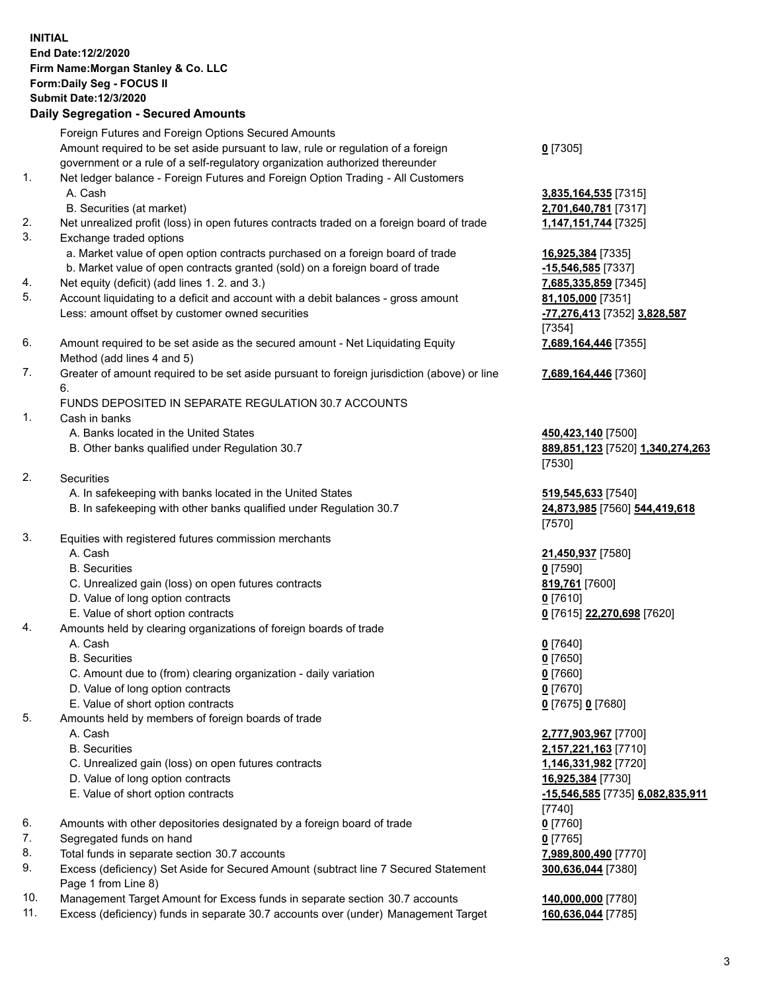## **INITIAL End Date:12/2/2020 Firm Name:Morgan Stanley & Co. LLC Form:Daily Seg - FOCUS II Submit Date:12/3/2020 Daily Segregation - Secured Amounts** Foreign Futures and Foreign Options Secured Amounts Amount required to be set aside pursuant to law, rule or regulation of a foreign government or a rule of a self-regulatory organization authorized thereunder 1. Net ledger balance - Foreign Futures and Foreign Option Trading - All Customers A. Cash **3,835,164,535** [7315] B. Securities (at market) **2,701,640,781** [7317] 2. Net unrealized profit (loss) in open futures contracts traded on a foreign board of trade **1,147,151,744** [7325] 3. Exchange traded options a. Market value of open option contracts purchased on a foreign board of trade **16,925,384** [7335] b. Market value of open contracts granted (sold) on a foreign board of trade **-15,546,585** [7337] 4. Net equity (deficit) (add lines 1. 2. and 3.) **7,685,335,859** [7345] 5. Account liquidating to a deficit and account with a debit balances - gross amount **81,105,000** [7351] Less: amount offset by customer owned securities **-77,276,413** [7352] **3,828,587** 6. Amount required to be set aside as the secured amount - Net Liquidating Equity Method (add lines 4 and 5) 7. Greater of amount required to be set aside pursuant to foreign jurisdiction (above) or line 6. FUNDS DEPOSITED IN SEPARATE REGULATION 30.7 ACCOUNTS 1. Cash in banks A. Banks located in the United States **450,423,140** [7500] B. Other banks qualified under Regulation 30.7 **889,851,123** [7520] **1,340,274,263** 2. Securities A. In safekeeping with banks located in the United States **519,545,633** [7540] B. In safekeeping with other banks qualified under Regulation 30.7 **24,873,985** [7560] **544,419,618** 3. Equities with registered futures commission merchants A. Cash **21,450,937** [7580] B. Securities **0** [7590] C. Unrealized gain (loss) on open futures contracts **819,761** [7600] D. Value of long option contracts **0** [7610] E. Value of short option contracts **0** [7615] **22,270,698** [7620]

4. Amounts held by clearing organizations of foreign boards of trade

A. Cash **0** [7640]

- B. Securities **0** [7650]
- C. Amount due to (from) clearing organization daily variation **0** [7660]
- D. Value of long option contracts **0** [7670]
- E. Value of short option contracts **0** [7675] **0** [7680]
- 5. Amounts held by members of foreign boards of trade
	-
	-
	- C. Unrealized gain (loss) on open futures contracts **1,146,331,982** [7720]
	- D. Value of long option contracts **16,925,384** [7730]
	-
- 6. Amounts with other depositories designated by a foreign board of trade **0** [7760]
- 7. Segregated funds on hand **0** [7765]
- 8. Total funds in separate section 30.7 accounts **7,989,800,490** [7770]
- 9. Excess (deficiency) Set Aside for Secured Amount (subtract line 7 Secured Statement Page 1 from Line 8)
- 10. Management Target Amount for Excess funds in separate section 30.7 accounts **140,000,000** [7780]
- 11. Excess (deficiency) funds in separate 30.7 accounts over (under) Management Target **160,636,044** [7785]

**0** [7305]

[7354] **7,689,164,446** [7355]

**7,689,164,446** [7360]

[7530]

[7570]

 A. Cash **2,777,903,967** [7700] B. Securities **2,157,221,163** [7710] E. Value of short option contracts **-15,546,585** [7735] **6,082,835,911** [7740] **300,636,044** [7380]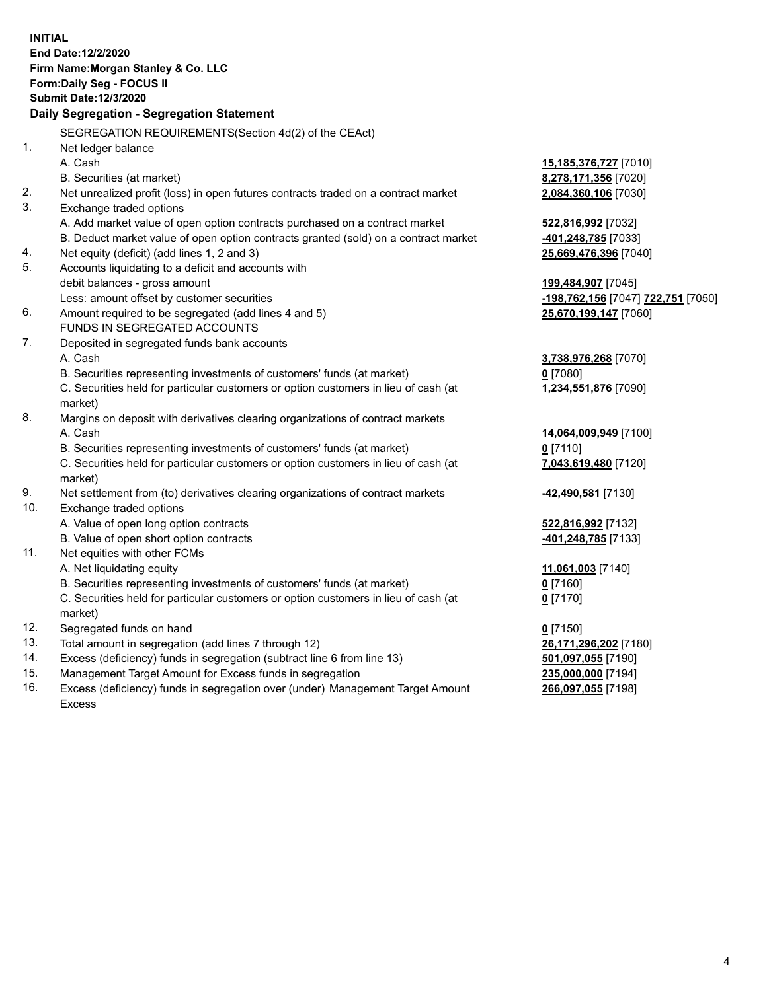|     | <b>INITIAL</b>                                                                                 |                                    |
|-----|------------------------------------------------------------------------------------------------|------------------------------------|
|     | End Date:12/2/2020                                                                             |                                    |
|     | Firm Name: Morgan Stanley & Co. LLC                                                            |                                    |
|     | Form: Daily Seg - FOCUS II                                                                     |                                    |
|     | <b>Submit Date: 12/3/2020</b>                                                                  |                                    |
|     | Daily Segregation - Segregation Statement                                                      |                                    |
|     | SEGREGATION REQUIREMENTS (Section 4d(2) of the CEAct)                                          |                                    |
| 1.  | Net ledger balance                                                                             |                                    |
|     | A. Cash                                                                                        | 15,185,376,727 [7010]              |
|     | B. Securities (at market)                                                                      | 8,278,171,356 [7020]               |
| 2.  | Net unrealized profit (loss) in open futures contracts traded on a contract market             | 2,084,360,106 [7030]               |
| 3.  | Exchange traded options                                                                        |                                    |
|     | A. Add market value of open option contracts purchased on a contract market                    | 522,816,992 [7032]                 |
|     | B. Deduct market value of open option contracts granted (sold) on a contract market            | -401,248,785 [7033]                |
| 4.  | Net equity (deficit) (add lines 1, 2 and 3)                                                    | <u>25,669,476,396</u> [7040]       |
| 5.  | Accounts liquidating to a deficit and accounts with                                            |                                    |
|     | debit balances - gross amount                                                                  | 199,484,907 [7045]                 |
|     | Less: amount offset by customer securities                                                     | -198,762,156 [7047] 722,751 [7050] |
| 6.  | Amount required to be segregated (add lines 4 and 5)                                           | 25,670,199,147 [7060]              |
|     | FUNDS IN SEGREGATED ACCOUNTS                                                                   |                                    |
| 7.  | Deposited in segregated funds bank accounts                                                    |                                    |
|     | A. Cash                                                                                        | 3,738,976,268 [7070]               |
|     | B. Securities representing investments of customers' funds (at market)                         | $0$ [7080]                         |
|     | C. Securities held for particular customers or option customers in lieu of cash (at<br>market) | 1,234,551,876 [7090]               |
| 8.  | Margins on deposit with derivatives clearing organizations of contract markets                 |                                    |
|     | A. Cash                                                                                        | 14,064,009,949 [7100]              |
|     | B. Securities representing investments of customers' funds (at market)                         | $0$ [7110]                         |
|     | C. Securities held for particular customers or option customers in lieu of cash (at<br>market) | 7,043,619,480 [7120]               |
| 9.  | Net settlement from (to) derivatives clearing organizations of contract markets                | -42,490,581 [7130]                 |
| 10. | Exchange traded options                                                                        |                                    |
|     | A. Value of open long option contracts                                                         | 522,816,992 [7132]                 |
|     | B. Value of open short option contracts                                                        | -401,248,785 [7133]                |
| 11. | Net equities with other FCMs                                                                   |                                    |
|     | A. Net liquidating equity                                                                      | 11,061,003 [7140]                  |
|     | B. Securities representing investments of customers' funds (at market)                         | $0$ [7160]                         |
|     | C. Securities held for particular customers or option customers in lieu of cash (at            | $0$ [7170]                         |
|     | market)                                                                                        |                                    |
| 12. | Segregated funds on hand                                                                       | $0$ [7150]                         |
| 13. | Total amount in segregation (add lines 7 through 12)                                           | 26,171,296,202 [7180]              |
| 14. | Excess (deficiency) funds in segregation (subtract line 6 from line 13)                        | 501,097,055 [7190]                 |
| 15. | Management Target Amount for Excess funds in segregation                                       | <u>235,000,000</u> [7194]          |

16. Excess (deficiency) funds in segregation over (under) Management Target Amount Excess

**266,097,055** [7198]